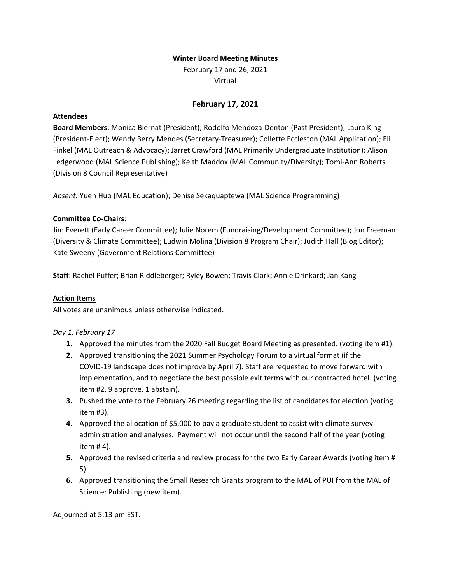### **Winter Board Meeting Minutes**

February 17 and 26, 2021 Virtual

# **February 17, 2021**

### **Attendees**

**Board Members**: Monica Biernat (President); Rodolfo Mendoza-Denton (Past President); Laura King (President-Elect); Wendy Berry Mendes (Secretary-Treasurer); Collette Eccleston (MAL Application); Eli Finkel (MAL Outreach & Advocacy); Jarret Crawford (MAL Primarily Undergraduate Institution); Alison Ledgerwood (MAL Science Publishing); Keith Maddox (MAL Community/Diversity); Tomi-Ann Roberts (Division 8 Council Representative)

*Absent:* Yuen Huo (MAL Education); Denise Sekaquaptewa (MAL Science Programming)

### **Committee Co-Chairs**:

Jim Everett (Early Career Committee); Julie Norem (Fundraising/Development Committee); Jon Freeman (Diversity & Climate Committee); Ludwin Molina (Division 8 Program Chair); Judith Hall (Blog Editor); Kate Sweeny (Government Relations Committee)

**Staff**: Rachel Puffer; Brian Riddleberger; Ryley Bowen; Travis Clark; Annie Drinkard; Jan Kang

## **Action Items**

All votes are unanimous unless otherwise indicated.

## *Day 1, February 17*

- **1.** Approved the minutes from the 2020 Fall Budget Board Meeting as presented. (voting item #1).
- **2.** Approved transitioning the 2021 Summer Psychology Forum to a virtual format (if the COVID-19 landscape does not improve by April 7). Staff are requested to move forward with implementation, and to negotiate the best possible exit terms with our contracted hotel. (voting item #2, 9 approve, 1 abstain).
- **3.** Pushed the vote to the February 26 meeting regarding the list of candidates for election (voting item #3).
- **4.** Approved the allocation of \$5,000 to pay a graduate student to assist with climate survey administration and analyses. Payment will not occur until the second half of the year (voting item # 4).
- **5.** Approved the revised criteria and review process for the two Early Career Awards (voting item # 5).
- **6.** Approved transitioning the Small Research Grants program to the MAL of PUI from the MAL of Science: Publishing (new item).

Adjourned at 5:13 pm EST.